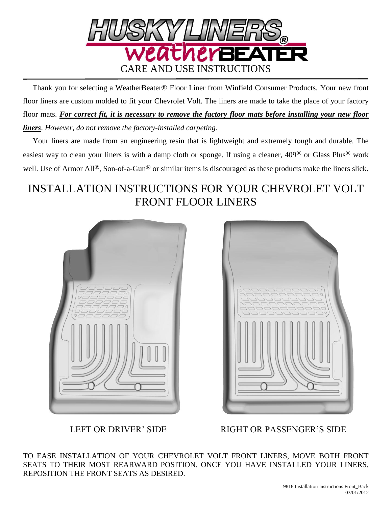

 Thank you for selecting a WeatherBeater® Floor Liner from Winfield Consumer Products. Your new front floor liners are custom molded to fit your Chevrolet Volt. The liners are made to take the place of your factory floor mats. *For correct fit, it is necessary to remove the factory floor mats before installing your new floor liners*. *However, do not remove the factory-installed carpeting.*

 Your liners are made from an engineering resin that is lightweight and extremely tough and durable. The easiest way to clean your liners is with a damp cloth or sponge. If using a cleaner, 409® or Glass Plus® work well. Use of Armor All<sup>®</sup>, Son-of-a-Gun<sup>®</sup> or similar items is discouraged as these products make the liners slick.

## INSTALLATION INSTRUCTIONS FOR YOUR CHEVROLET VOLT FRONT FLOOR LINERS





LEFT OR DRIVER' SIDE RIGHT OR PASSENGER'S SIDE

TO EASE INSTALLATION OF YOUR CHEVROLET VOLT FRONT LINERS, MOVE BOTH FRONT SEATS TO THEIR MOST REARWARD POSITION. ONCE YOU HAVE INSTALLED YOUR LINERS, REPOSITION THE FRONT SEATS AS DESIRED.